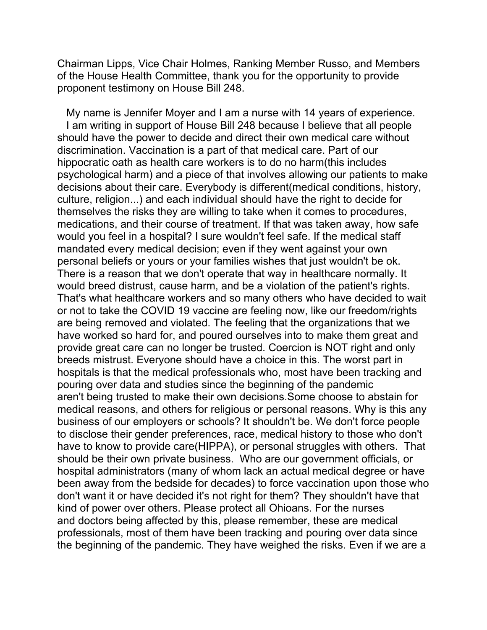Chairman Lipps, Vice Chair Holmes, Ranking Member Russo, and Members of the House Health Committee, thank you for the opportunity to provide proponent testimony on House Bill 248.

 My name is Jennifer Moyer and I am a nurse with 14 years of experience. I am writing in support of House Bill 248 because I believe that all people should have the power to decide and direct their own medical care without discrimination. Vaccination is a part of that medical care. Part of our hippocratic oath as health care workers is to do no harm(this includes psychological harm) and a piece of that involves allowing our patients to make decisions about their care. Everybody is different(medical conditions, history, culture, religion...) and each individual should have the right to decide for themselves the risks they are willing to take when it comes to procedures, medications, and their course of treatment. If that was taken away, how safe would you feel in a hospital? I sure wouldn't feel safe. If the medical staff mandated every medical decision; even if they went against your own personal beliefs or yours or your families wishes that just wouldn't be ok. There is a reason that we don't operate that way in healthcare normally. It would breed distrust, cause harm, and be a violation of the patient's rights. That's what healthcare workers and so many others who have decided to wait or not to take the COVID 19 vaccine are feeling now, like our freedom/rights are being removed and violated. The feeling that the organizations that we have worked so hard for, and poured ourselves into to make them great and provide great care can no longer be trusted. Coercion is NOT right and only breeds mistrust. Everyone should have a choice in this. The worst part in hospitals is that the medical professionals who, most have been tracking and pouring over data and studies since the beginning of the pandemic aren't being trusted to make their own decisions.Some choose to abstain for medical reasons, and others for religious or personal reasons. Why is this any business of our employers or schools? It shouldn't be. We don't force people to disclose their gender preferences, race, medical history to those who don't have to know to provide care(HIPPA), or personal struggles with others. That should be their own private business. Who are our government officials, or hospital administrators (many of whom lack an actual medical degree or have been away from the bedside for decades) to force vaccination upon those who don't want it or have decided it's not right for them? They shouldn't have that kind of power over others. Please protect all Ohioans. For the nurses and doctors being affected by this, please remember, these are medical professionals, most of them have been tracking and pouring over data since the beginning of the pandemic. They have weighed the risks. Even if we are a